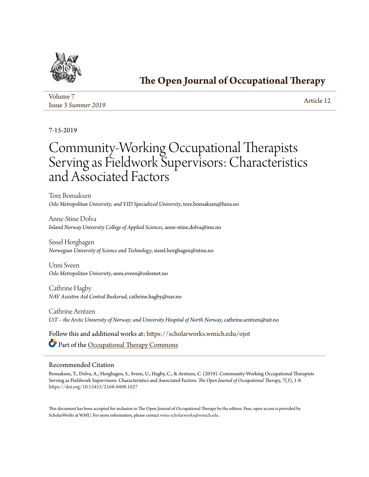

## **[The Open Journal of Occupational Therapy](https://scholarworks.wmich.edu/ojot?utm_source=scholarworks.wmich.edu%2Fojot%2Fvol7%2Fiss3%2F12&utm_medium=PDF&utm_campaign=PDFCoverPages)**

| Volume 7            | Article 12 |
|---------------------|------------|
| Issue 3 Summer 2019 |            |

7-15-2019

# Community-Working Occupational Therapists Serving as Fieldwork Supervisors: Characteristics and Associated Factors

Tore Bonsaksen *Oslo Metropolitan University; and VID Specialized University*, tore.bonsaksen@hioa.no

Anne-Stine Dolva *Inland Norway University College of Applied Sciences*, anne-stine.dolva@inn.no

Sissel Horghagen *Norwegian University of Science and Technology*, sissel.horghagen@ntnu.no

Unni Sveen *Oslo Metropolitan University*, unni.sveen@oslomet.no

Cathrine Hagby *NAV Assistive Aid Central Buskerud*, cathrine.hagby@nav.no

Cathrine Arntzen *UiT – the Arctic University of Norway; and University Hospital of North Norway*, cathrine.arntzen@uit.no

Follow this and additional works at: [https://scholarworks.wmich.edu/ojot](https://scholarworks.wmich.edu/ojot?utm_source=scholarworks.wmich.edu%2Fojot%2Fvol7%2Fiss3%2F12&utm_medium=PDF&utm_campaign=PDFCoverPages) Part of the [Occupational Therapy Commons](http://network.bepress.com/hgg/discipline/752?utm_source=scholarworks.wmich.edu%2Fojot%2Fvol7%2Fiss3%2F12&utm_medium=PDF&utm_campaign=PDFCoverPages)

### Recommended Citation

Bonsaksen, T., Dolva, A., Horghagen, S., Sveen, U., Hagby, C., & Arntzen, C. (2019). Community-Working Occupational Therapists Serving as Fieldwork Supervisors: Characteristics and Associated Factors. *The Open Journal of Occupational Therapy, 7*(3), 1-8. <https://doi.org/10.15453/2168-6408.1627>

This document has been accepted for inclusion in The Open Journal of Occupational Therapy by the editors. Free, open access is provided by ScholarWorks at WMU. For more information, please contact [wmu-scholarworks@wmich.edu.](mailto:wmu-scholarworks@wmich.edu)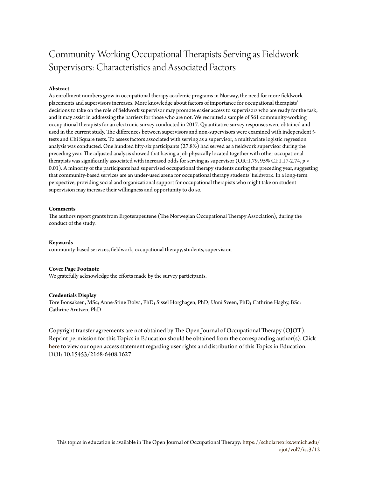## Community-Working Occupational Therapists Serving as Fieldwork Supervisors: Characteristics and Associated Factors

#### **Abstract**

As enrollment numbers grow in occupational therapy academic programs in Norway, the need for more fieldwork placements and supervisors increases. More knowledge about factors of importance for occupational therapists' decisions to take on the role of fieldwork supervisor may promote easier access to supervisors who are ready for the task, and it may assist in addressing the barriers for those who are not. We recruited a sample of 561 community-working occupational therapists for an electronic survey conducted in 2017. Quantitative survey responses were obtained and used in the current study. The differences between supervisors and non-supervisors were examined with independent *t*tests and Chi Square tests. To assess factors associated with serving as a supervisor, a multivariate logistic regression analysis was conducted. One hundred fifty-six participants (27.8%) had served as a fieldwork supervisor during the preceding year. The adjusted analysis showed that having a job physically located together with other occupational therapists was significantly associated with increased odds for serving as supervisor (OR:1.79, 95% CI:1.17-2.74,  $p <$ 0.01). A minority of the participants had supervised occupational therapy students during the preceding year, suggesting that community-based services are an under-used arena for occupational therapy students' fieldwork. In a long-term perspective, providing social and organizational support for occupational therapists who might take on student supervision may increase their willingness and opportunity to do so.

#### **Comments**

The authors report grants from Ergoterapeutene (The Norwegian Occupational Therapy Association), during the conduct of the study.

#### **Keywords**

community-based services, fieldwork, occupational therapy, students, supervision

#### **Cover Page Footnote**

We gratefully acknowledge the efforts made by the survey participants.

#### **Credentials Display**

Tore Bonsaksen, MSc; Anne-Stine Dolva, PhD; Sissel Horghagen, PhD; Unni Sveen, PhD; Cathrine Hagby, BSc; Cathrine Arntzen, PhD

Copyright transfer agreements are not obtained by The Open Journal of Occupational Therapy (OJOT). Reprint permission for this Topics in Education should be obtained from the corresponding author(s). Click [here](https://scholarworks.wmich.edu/ojot/policies.html#rights) to view our open access statement regarding user rights and distribution of this Topics in Education. DOI: 10.15453/2168-6408.1627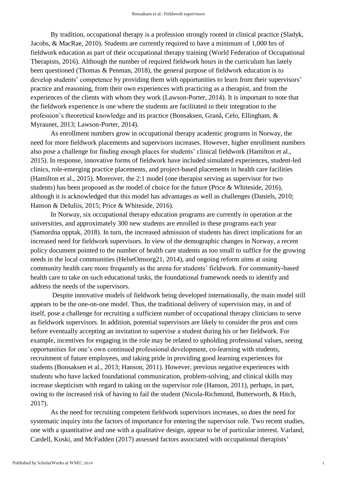By tradition, occupational therapy is a profession strongly rooted in clinical practice (Sladyk, Jacobs, & MacRae, 2010). Students are currently required to have a minimum of 1,000 hrs of fieldwork education as part of their occupational therapy training (World Federation of Occupational Therapists, 2016). Although the number of required fieldwork hours in the curriculum has lately been questioned (Thomas & Penman, 2018), the general purpose of fieldwork education is to develop students' competence by providing them with opportunities to learn from their supervisors' practice and reasoning, from their own experiences with practicing as a therapist, and from the experiences of the clients with whom they work (Lawson-Porter, 2014). It is important to note that the fieldwork experience is one where the students are facilitated in their integration to the profession's theoretical knowledge and its practice (Bonsaksen, Granå, Celo, Ellingham, & Myraunet, 2013; Lawson-Porter, 2014).

As enrollment numbers grow in occupational therapy academic programs in Norway, the need for more fieldwork placements and supervisors increases. However, higher enrollment numbers also pose a challenge for finding enough places for students' clinical fieldwork (Hamilton et al., 2015). In response, innovative forms of fieldwork have included simulated experiences, student-led clinics, role-emerging practice placements, and project-based placements in health care facilities (Hamilton et al., 2015). Moreover, the 2:1 model (one therapist serving as supervisor for two students) has been proposed as the model of choice for the future (Price & Whiteside, 2016), although it is acknowledged that this model has advantages as well as challenges (Daniels, 2010; Hanson & DeIuliis, 2015; Price & Whiteside, 2016).

In Norway, six occupational therapy education programs are currently in operation at the universities, and approximately 300 new students are enrolled in these programs each year (Samordna opptak, 2018). In turn, the increased admission of students has direct implications for an increased need for fieldwork supervisors. In view of the demographic changes in Norway, a recent policy document pointed to the number of health care students as too small to suffice for the growing needs in the local communities (HelseOmsorg21, 2014), and ongoing reform aims at using community health care more frequently as the arena for students' fieldwork. For community-based health care to take on such educational tasks, the foundational framework needs to identify and address the needs of the supervisors.

Despite innovative models of fieldwork being developed internationally, the main model still appears to be the one-on-one model. Thus, the traditional delivery of supervision may, in and of itself, pose a challenge for recruiting a sufficient number of occupational therapy clinicians to serve as fieldwork supervisors. In addition, potential supervisors are likely to consider the pros and cons before eventually accepting an invitation to supervise a student during his or her fieldwork. For example, incentives for engaging in the role may be related to upholding professional values, seeing opportunities for one's own continued professional development, co-learning with students, recruitment of future employees, and taking pride in providing good learning experiences for students (Bonsaksen et al., 2013; Hanson, 2011). However, previous negative experiences with students who have lacked foundational communication, problem-solving, and clinical skills may increase skepticism with regard to taking on the supervisor role (Hanson, 2011), perhaps, in part, owing to the increased risk of having to fail the student (Nicola-Richmond, Butterworth, & Hitch, 2017).

As the need for recruiting competent fieldwork supervisors increases, so does the need for systematic inquiry into the factors of importance for entering the supervisor role. Two recent studies, one with a quantitative and one with a qualitative design, appear to be of particular interest. Varland, Cardell, Koski, and McFadden (2017) assessed factors associated with occupational therapists'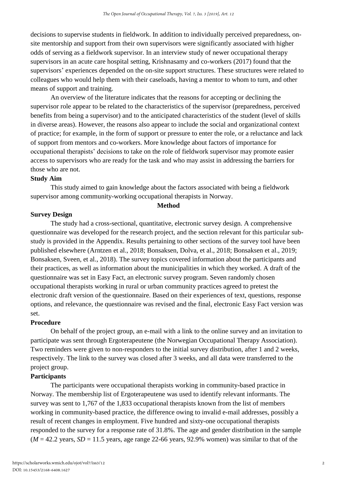decisions to supervise students in fieldwork. In addition to individually perceived preparedness, onsite mentorship and support from their own supervisors were significantly associated with higher odds of serving as a fieldwork supervisor. In an interview study of newer occupational therapy supervisors in an acute care hospital setting, Krishnasamy and co-workers (2017) found that the supervisors' experiences depended on the on-site support structures. These structures were related to colleagues who would help them with their caseloads, having a mentor to whom to turn, and other means of support and training.

An overview of the literature indicates that the reasons for accepting or declining the supervisor role appear to be related to the characteristics of the supervisor (preparedness, perceived benefits from being a supervisor) and to the anticipated characteristics of the student (level of skills in diverse areas). However, the reasons also appear to include the social and organizational context of practice; for example, in the form of support or pressure to enter the role, or a reluctance and lack of support from mentors and co-workers. More knowledge about factors of importance for occupational therapists' decisions to take on the role of fieldwork supervisor may promote easier access to supervisors who are ready for the task and who may assist in addressing the barriers for those who are not.

## **Study Aim**

This study aimed to gain knowledge about the factors associated with being a fieldwork supervisor among community-working occupational therapists in Norway.

#### **Method**

#### **Survey Design**

The study had a cross-sectional, quantitative, electronic survey design. A comprehensive questionnaire was developed for the research project, and the section relevant for this particular substudy is provided in the Appendix. Results pertaining to other sections of the survey tool have been published elsewhere (Arntzen et al., 2018; Bonsaksen, Dolva, et al., 2018; Bonsaksen et al., 2019; Bonsaksen, Sveen, et al., 2018). The survey topics covered information about the participants and their practices, as well as information about the municipalities in which they worked. A draft of the questionnaire was set in Easy Fact, an electronic survey program. Seven randomly chosen occupational therapists working in rural or urban community practices agreed to pretest the electronic draft version of the questionnaire. Based on their experiences of text, questions, response options, and relevance, the questionnaire was revised and the final, electronic Easy Fact version was set.

#### **Procedure**

On behalf of the project group, an e-mail with a link to the online survey and an invitation to participate was sent through Ergoterapeutene (the Norwegian Occupational Therapy Association). Two reminders were given to non-responders to the initial survey distribution, after 1 and 2 weeks, respectively. The link to the survey was closed after 3 weeks, and all data were transferred to the project group.

#### **Participants**

The participants were occupational therapists working in community-based practice in Norway. The membership list of Ergoterapeutene was used to identify relevant informants. The survey was sent to 1,767 of the 1,833 occupational therapists known from the list of members working in community-based practice, the difference owing to invalid e-mail addresses, possibly a result of recent changes in employment. Five hundred and sixty-one occupational therapists responded to the survey for a response rate of 31.8%. The age and gender distribution in the sample  $(M = 42.2 \text{ years}, SD = 11.5 \text{ years}, age range 22-66 \text{ years}, 92.9\% \text{ women} was similar to that of the$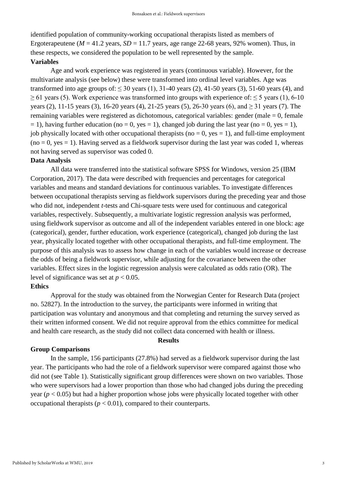identified population of community-working occupational therapists listed as members of Ergoterapeutene ( $M = 41.2$  years,  $SD = 11.7$  years, age range 22-68 years, 92% women). Thus, in these respects, we considered the population to be well represented by the sample. **Variables**

Age and work experience was registered in years (continuous variable). However, for the multivariate analysis (see below) these were transformed into ordinal level variables. Age was transformed into age groups of:  $\leq 30$  years (1), 31-40 years (2), 41-50 years (3), 51-60 years (4), and  $> 61$  years (5). Work experience was transformed into groups with experience of:  $\leq 5$  years (1), 6-10 years (2), 11-15 years (3), 16-20 years (4), 21-25 years (5), 26-30 years (6), and ≥ 31 years (7). The remaining variables were registered as dichotomous, categorical variables: gender (male  $= 0$ , female  $= 1$ ), having further education (no  $= 0$ , yes  $= 1$ ), changed job during the last year (no  $= 0$ , yes  $= 1$ ), job physically located with other occupational therapists ( $no = 0$ ,  $yes = 1$ ), and full-time employment  $(no = 0, yes = 1)$ . Having served as a fieldwork supervisor during the last year was coded 1, whereas not having served as supervisor was coded 0.

#### **Data Analysis**

All data were transferred into the statistical software SPSS for Windows, version 25 (IBM Corporation, 2017). The data were described with frequencies and percentages for categorical variables and means and standard deviations for continuous variables. To investigate differences between occupational therapists serving as fieldwork supervisors during the preceding year and those who did not, independent *t*-tests and Chi-square tests were used for continuous and categorical variables, respectively. Subsequently, a multivariate logistic regression analysis was performed, using fieldwork supervisor as outcome and all of the independent variables entered in one block: age (categorical), gender, further education, work experience (categorical), changed job during the last year, physically located together with other occupational therapists, and full-time employment. The purpose of this analysis was to assess how change in each of the variables would increase or decrease the odds of being a fieldwork supervisor, while adjusting for the covariance between the other variables. Effect sizes in the logistic regression analysis were calculated as odds ratio (OR). The level of significance was set at  $p < 0.05$ .

## **Ethics**

Approval for the study was obtained from the Norwegian Center for Research Data (project no. 52827). In the introduction to the survey, the participants were informed in writing that participation was voluntary and anonymous and that completing and returning the survey served as their written informed consent. We did not require approval from the ethics committee for medical and health care research, as the study did not collect data concerned with health or illness.

### **Results**

#### **Group Comparisons**

In the sample, 156 participants (27.8%) had served as a fieldwork supervisor during the last year. The participants who had the role of a fieldwork supervisor were compared against those who did not (see Table 1). Statistically significant group differences were shown on two variables. Those who were supervisors had a lower proportion than those who had changed jobs during the preceding year (*p* < 0.05) but had a higher proportion whose jobs were physically located together with other occupational therapists ( $p < 0.01$ ), compared to their counterparts.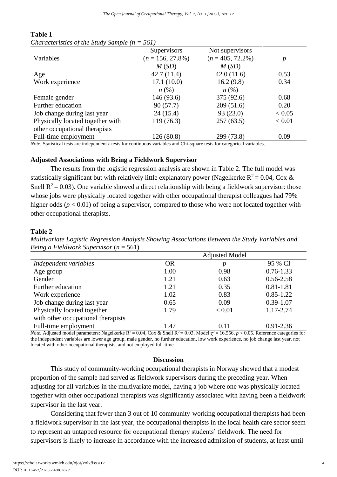|                                  | Supervisors         | Not supervisors     |        |
|----------------------------------|---------------------|---------------------|--------|
| Variables                        | $(n = 156, 27.8\%)$ | $(n = 405, 72.2\%)$ |        |
|                                  | M(SD)               | M(SD)               |        |
| Age                              | 42.7(11.4)          | 42.0(11.6)          | 0.53   |
| Work experience                  | 17.1(10.0)          | 16.2(9.8)           | 0.34   |
|                                  | $n\left(\%\right)$  | $n\left(\%\right)$  |        |
| Female gender                    | 146 (93.6)          | 375 (92.6)          | 0.68   |
| Further education                | 90(57.7)            | 209(51.6)           | 0.20   |
| Job change during last year      | 24(15.4)            | 93(23.0)            | < 0.05 |
| Physically located together with | 119 (76.3)          | 257(63.5)           | < 0.01 |
| other occupational therapists    |                     |                     |        |
| Full-time employment             | 126 (80.8)          | 299 (73.8)          | 0.09   |

## **Table 1**

*Characteristics of the Study Sample (n = 561)*

*Note.* Statistical tests are independent *t*-tests for continuous variables and Chi-square tests for categorical variables.

## **Adjusted Associations with Being a Fieldwork Supervisor**

The results from the logistic regression analysis are shown in Table 2. The full model was statistically significant but with relatively little explanatory power (Nagelkerke  $R^2 = 0.04$ , Cox & Snell  $R^2 = 0.03$ ). One variable showed a direct relationship with being a fieldwork supervisor: those whose jobs were physically located together with other occupational therapist colleagues had 79% higher odds ( $p < 0.01$ ) of being a supervisor, compared to those who were not located together with other occupational therapists.

## **Table 2**

*Multivariate Logistic Regression Analysis Showing Associations Between the Study Variables and Being a Fieldwork Supervisor* (*n* = 561)

|                                                            |           | <b>Adjusted Model</b> |               |
|------------------------------------------------------------|-----------|-----------------------|---------------|
| Independent variables                                      | <b>OR</b> | р                     | 95 % CI       |
| Age group                                                  | 1.00      | 0.98                  | $0.76 - 1.33$ |
| Gender                                                     | 1.21      | 0.63                  | $0.56 - 2.58$ |
| Further education                                          | 1.21      | 0.35                  | $0.81 - 1.81$ |
| Work experience                                            | 1.02      | 0.83                  | $0.85 - 1.22$ |
| Job change during last year                                | 0.65      | 0.09                  | $0.39 - 1.07$ |
| Physically located together                                | 1.79      | < 0.01                | 1.17-2.74     |
| with other occupational therapists                         |           |                       |               |
| Full-time employment<br>$\sim$ $\sim$ $\sim$ $\sim$ $\sim$ | 1.47      | 0.11                  | $0.91 - 2.36$ |

*Note.* Adjusted model parameters: Nagelkerke  $R^2 = 0.04$ , Cox & Snell  $R^2 = 0.03$ , Model  $\gamma^2 = 16.556$ ,  $p < 0.05$ . Reference categories for the independent variables are lower age group, male gender, no further education, low work experience, no job change last year, not located with other occupational therapists, and not employed full-time.

## **Discussion**

This study of community-working occupational therapists in Norway showed that a modest proportion of the sample had served as fieldwork supervisors during the preceding year. When adjusting for all variables in the multivariate model, having a job where one was physically located together with other occupational therapists was significantly associated with having been a fieldwork supervisor in the last year.

Considering that fewer than 3 out of 10 community-working occupational therapists had been a fieldwork supervisor in the last year, the occupational therapists in the local health care sector seem to represent an untapped resource for occupational therapy students' fieldwork. The need for supervisors is likely to increase in accordance with the increased admission of students, at least until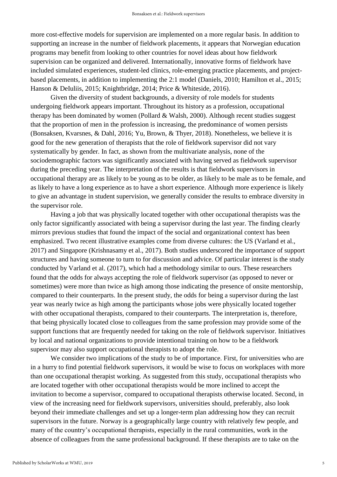more cost-effective models for supervision are implemented on a more regular basis. In addition to supporting an increase in the number of fieldwork placements, it appears that Norwegian education programs may benefit from looking to other countries for novel ideas about how fieldwork supervision can be organized and delivered. Internationally, innovative forms of fieldwork have included simulated experiences, student-led clinics, role-emerging practice placements, and projectbased placements, in addition to implementing the 2:1 model (Daniels, 2010; Hamilton et al., 2015; Hanson & DeIuliis, 2015; Knightbridge, 2014; Price & Whiteside, 2016).

Given the diversity of student backgrounds, a diversity of role models for students undergoing fieldwork appears important. Throughout its history as a profession, occupational therapy has been dominated by women (Pollard & Walsh, 2000). Although recent studies suggest that the proportion of men in the profession is increasing, the predominance of women persists (Bonsaksen, Kvarsnes, & Dahl, 2016; Yu, Brown, & Thyer, 2018). Nonetheless, we believe it is good for the new generation of therapists that the role of fieldwork supervisor did not vary systematically by gender. In fact, as shown from the multivariate analysis, none of the sociodemographic factors was significantly associated with having served as fieldwork supervisor during the preceding year. The interpretation of the results is that fieldwork supervisors in occupational therapy are as likely to be young as to be older, as likely to be male as to be female, and as likely to have a long experience as to have a short experience. Although more experience is likely to give an advantage in student supervision, we generally consider the results to embrace diversity in the supervisor role.

Having a job that was physically located together with other occupational therapists was the only factor significantly associated with being a supervisor during the last year. The finding clearly mirrors previous studies that found the impact of the social and organizational context has been emphasized. Two recent illustrative examples come from diverse cultures: the US (Varland et al., 2017) and Singapore (Krishnasamy et al., 2017). Both studies underscored the importance of support structures and having someone to turn to for discussion and advice. Of particular interest is the study conducted by Varland et al. (2017), which had a methodology similar to ours. These researchers found that the odds for always accepting the role of fieldwork supervisor (as opposed to never or sometimes) were more than twice as high among those indicating the presence of onsite mentorship, compared to their counterparts. In the present study, the odds for being a supervisor during the last year was nearly twice as high among the participants whose jobs were physically located together with other occupational therapists, compared to their counterparts. The interpretation is, therefore, that being physically located close to colleagues from the same profession may provide some of the support functions that are frequently needed for taking on the role of fieldwork supervisor. Initiatives by local and national organizations to provide intentional training on how to be a fieldwork supervisor may also support occupational therapists to adopt the role.

We consider two implications of the study to be of importance. First, for universities who are in a hurry to find potential fieldwork supervisors, it would be wise to focus on workplaces with more than one occupational therapist working. As suggested from this study, occupational therapists who are located together with other occupational therapists would be more inclined to accept the invitation to become a supervisor, compared to occupational therapists otherwise located. Second, in view of the increasing need for fieldwork supervisors, universities should, preferably, also look beyond their immediate challenges and set up a longer-term plan addressing how they can recruit supervisors in the future. Norway is a geographically large country with relatively few people, and many of the country's occupational therapists, especially in the rural communities, work in the absence of colleagues from the same professional background. If these therapists are to take on the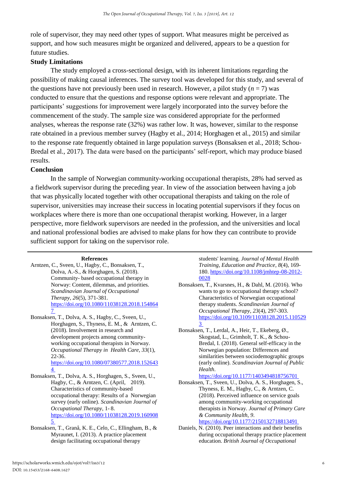role of supervisor, they may need other types of support. What measures might be perceived as support, and how such measures might be organized and delivered, appears to be a question for future studies.

## **Study Limitations**

The study employed a cross-sectional design, with its inherent limitations regarding the possibility of making causal inferences. The survey tool was developed for this study, and several of the questions have not previously been used in research. However, a pilot study ( $n = 7$ ) was conducted to ensure that the questions and response options were relevant and appropriate. The participants' suggestions for improvement were largely incorporated into the survey before the commencement of the study. The sample size was considered appropriate for the performed analyses, whereas the response rate (32%) was rather low. It was, however, similar to the response rate obtained in a previous member survey (Hagby et al., 2014; Horghagen et al., 2015) and similar to the response rate frequently obtained in large population surveys (Bonsaksen et al., 2018; Schou-Bredal et al., 2017). The data were based on the participants' self-report, which may produce biased results.

## **Conclusion**

In the sample of Norwegian community-working occupational therapists, 28% had served as a fieldwork supervisor during the preceding year. In view of the association between having a job that was physically located together with other occupational therapists and taking on the role of supervisor, universities may increase their success in locating potential supervisors if they focus on workplaces where there is more than one occupational therapist working. However, in a larger perspective, more fieldwork supervisors are needed in the profession, and the universities and local and national professional bodies are advised to make plans for how they can contribute to provide sufficient support for taking on the supervisor role.

#### **References**

- Arntzen, C., Sveen, U., Hagby, C., Bonsaksen, T., Dolva, A.-S., & Horghagen, S. (2018). Community- based occupational therapy in Norway: Content, dilemmas, and priorities. *Scandinavian Journal of Occupational Therapy*, *26*(5), 371-381. [https://doi.org/10.1080/11038128.2018.154864](https://doi.org/10.1080/11038128.2018.1548647 ) [7](https://doi.org/10.1080/11038128.2018.1548647 )
- Bonsaksen, T., Dolva, A. S., Hagby, C., Sveen, U., Horghagen, S., Thyness, E. M., & Arntzen, C. (2018). Involvement in research and development projects among communityworking occupational therapists in Norway. *Occupational Therapy in Health Care*, *33*(1), 22-36. [https://doi.org/10.1080/07380577.2018.152643](https://doi.org/10.1080/07380577.2018.1526434) [4](https://doi.org/10.1080/07380577.2018.1526434)
- Bonsaksen, T., Dolva, A. S., Horghagen, S., Sveen, U., Hagby, C., & Arntzen, C. (April, 2019). Characteristics of community-based occupational therapy: Results of a Norwegian survey (early online). *Scandinavian Journal of Occupational Therapy*, 1- 8. [https://doi.org/10.1080/11038128.2019.160908](https://doi.org/10.1080/11038128.2019.1609085)
- [5](https://doi.org/10.1080/11038128.2019.1609085) Bonsaksen, T., Granå, K. E., Celo, C., Ellingham, B., & Myraunet, I. (2013). A practice placement design facilitating occupational therapy

students' learning. *Journal of Mental Health Training, Education and Practice*, *8*(4), 169- 180. [https://doi.org/10.1108/jmhtep-08-2012-](https://doi.org/10.1108/jmhtep-08-2012-0028) [0028](https://doi.org/10.1108/jmhtep-08-2012-0028)

- Bonsaksen, T., Kvarsnes, H., & Dahl, M. (2016). Who wants to go to occupational therapy school? Characteristics of Norwegian occupational therapy students. *Scandinavian Journal of Occupational Therapy*, *23*(4), 297-303. [https://doi.org/10.3109/11038128.2015.110529](https://doi.org/10.3109/11038128.2015.1105293 ) [3](https://doi.org/10.3109/11038128.2015.1105293 )
- Bonsaksen, T., Lerdal, A., Heir, T., Ekeberg, Ø., Skogstad, L., Grimholt, T. K., & Schou-Bredal, I. (2018). General self-efficacy in the Norwegian population: Differences and similarities between sociodemographic groups (early online). *Scandinavian Journal of Public Health*.

<https://doi.org/10.1177/1403494818756701>

- Bonsaksen, T., Sveen, U., Dolva, A. S., Horghagen, S., Thyness, E. M., Hagby, C., & Arntzen, C. (2018). Perceived influence on service goals among community-working occupational therapists in Norway. *Journal of Primary Care & Community Health*, *9*. <https://doi.org/10.1177/2150132718813491>
- Daniels, N. (2010). Peer interactions and their benefits during occupational therapy practice placement education. *British Journal of Occupational*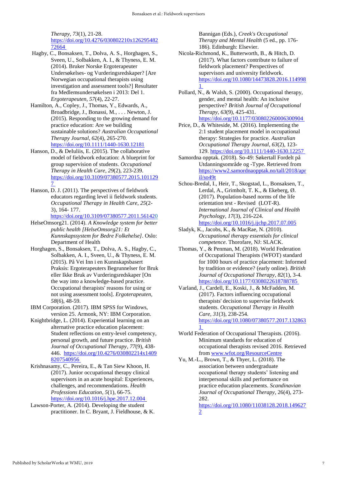*Therapy*, *73*(1), 21-28. [https://doi.org/10.4276/030802210x126295482](https://doi.org/10.4276/030802210x12629548272664) [72664](https://doi.org/10.4276/030802210x12629548272664)

- Hagby, C., Bonsaksen, T., Dolva, A. S., Horghagen, S., Sveen, U., Solbakken, A. I., & Thyness, E. M. (2014). Bruker Norske Ergoterapeuter Undersøkelses- og Vurderingsredskaper? [Are Norwegian occupational therapists using investigation and assessment tools?] Resultater fra Medlemsundersøkelsen i 2013: Del 1. *Ergoterapeuten, 57*(4), 22-27.
- Hamilton, A., Copley, J., Thomas, Y., Edwards, A., Broadbridge, J., Bonassi, M., . . . Newton, J. (2015). Responding to the growing demand for practice education: Are we building sustainable solutions? *Australian Occupational Therapy Journal*, *62*(4), 265-270. <https://doi.org/10.1111/1440-1630.12181>
- Hanson, D., & DeIuliis, E. (2015). The collaborative model of fieldwork education: A blueprint for group supervision of students. *Occupational Therapy in Health Care*, *29*(2), 223-239. [https://doi.org/10.3109/07380577.2015.101129](https://doi.org/10.3109/07380577.2015.1011297) [7](https://doi.org/10.3109/07380577.2015.1011297)
- Hanson, D. J. (2011). The perspectives of fieldwork educators regarding level ii fieldwork students. *Occupational Therapy in Health Care*, *25*(2- 3), 164- 177.

<https://doi.org/10.3109/07380577.2011.561420>

- HelseOmsorg21. (2014). *A Knowledge system for better public health [HelseOmsorg21: Et Kunnskapssystem for Bedre Folkehelse]*. Oslo: Department of Health
- Horghagen, S., Bonsaksen, T., Dolva, A. S., Hagby, C., Solbakken, A. I., Sveen, U., & Thyness, E. M. (2015). På Vei Inn i en Kunnskapsbasert Praksis: Ergoterapeuters Begrunnelser for Bruk eller Ikke Bruk av Vurderingsredskaper [On the way into a knowledge-based practice. Occupational therapists' reasons for using or not using assessment tools]. *Ergoterapeuten, 58*(6), 48-59.
- IBM Corporation. (2017). IBM SPSS for Windows, version 25. Armonk, NY: IBM Corporation.
- Knightbridge, L. (2014). Experiential learning on an alternative practice education placement: Student reflections on entry-level competency, personal growth, and future practice. *British Journal of Occupational Therapy*, *77*(9), 438- 446. [https://doi.org/10.4276/030802214x1409](https://doi.org/10.4276/030802214x14098207540956) [8207540956](https://doi.org/10.4276/030802214x14098207540956)
- Krishnasamy, C., Pereira, E., & Tan Siew Khoon, H. (2017). Junior occupational therapy clinical supervisors in an acute hospital: Experiences, challenges, and recommendations. *Health Professions Education*, *5*(1), 66-75. <https://doi.org/10.1016/j.hpe.2017.12.004>
- Lawson-Porter, A. (2014). Developing the student practitioner. In C. Bryant, J. Fieldhouse, & K.

Bannigan (Eds.), *Creek's Occupational Therapy and Mental Health* (5 ed., pp. 176- 186). Edinburgh: Elsevier.

- Nicola-Richmond, K., Butterworth, B., & Hitch, D. (2017). What factors contribute to failure of fieldwork placement? Perspectives of supervisors and university fieldwork. [https://doi.org/10.1080/14473828.2016.114998](https://doi.org/10.1080/14473828.2016.1149981) [1](https://doi.org/10.1080/14473828.2016.1149981)
- Pollard, N., & Walsh, S. (2000). Occupational therapy, gender, and mental health: An inclusive perspective? *British Journal of Occupational Therapy*, *63*(9), 425-431. <https://doi.org/10.1177/030802260006300904>
- Price, D., & Whiteside, M. (2016). Implementing the 2:1 student placement model in occupational therapy: Strategies for practice. *Australian Occupational Therapy Journal*, *63*(2), 123- 129[. https://doi.org/10.1111/1440-1630.12257](https://doi.org/10.1111/1440-1630.12257)
- Samordna opptak. (2018). So-49: Søkertall Fordelt på Utdanningsområde og -Type. Retrieved from https://www2.samordnaopptak.no/tall/2018/apr il/so49t
- Schou-Bredal, I., Heir, T., Skogstad, L., Bonsaksen, T., Lerdal, A., Grimholt, T. K., & Ekeberg, Ø. (2017). Population-based norms of the life orientation test - Revised (LOT-R). *International Journal of Clinical and Health Psychology*, *17*(3), 216-224. <https://doi.org/10.1016/j.ijchp.2017.07.005>
- Sladyk, K., Jacobs, K., & MacRae, N. (2010). *Occupational therapy essentials for clinical competence*. Thorofare, NJ: SLACK.
- Thomas, Y., & Penman, M. (2018). World Federation of Occupational Therapists (WFOT) standard for 1000 hours of practice placement: Informed by tradition or evidence? (early online). *British Journal of Occupational Therapy*, *82*(1), 3-4*.*  <https://doi.org/10.1177/0308022618788785>
- Varland, J., Cardell, E., Koski, J., & McFadden, M. (2017). Factors influencing occupational therapists' decision to supervise fieldwork students. *Occupational Therapy in Health Care*, *31*(3), 238-254. [https://doi.org/10.1080/07380577.2017.132863](https://doi.org/10.1080/07380577.2017.1328631) [1](https://doi.org/10.1080/07380577.2017.1328631)
- World Federation of Occupational Therapists. (2016). Minimum standards for education of occupational therapists revised 2016. Retrieved from<www.wfot.org/ResourceCentre>
- Yu, M.-L., Brown, T., & Thyer, L. (2018). The association between undergraduate occupational therapy students' listening and interpersonal skills and performance on practice education placements. *Scandinavian Journal of Occupational Therapy*, 26(4), 273- 282.

[https://doi.org/10.1080/11038128.2018.149627](https://doi.org/10.1080/11038128.2018.1496272) [2](https://doi.org/10.1080/11038128.2018.1496272)